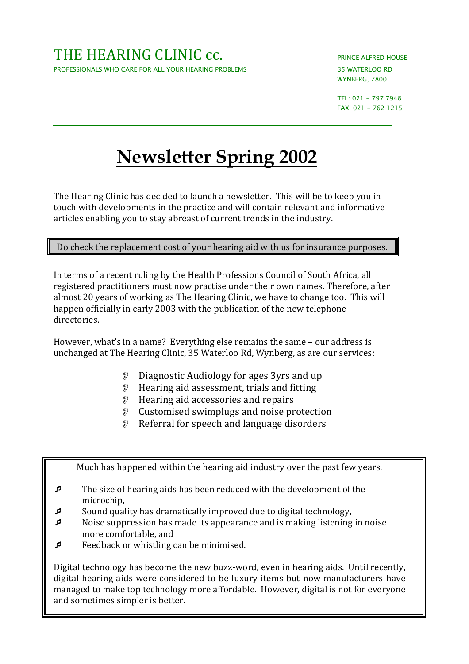*WYNBERG, 7800* 

*TEL: 021 - 797 7948 FAX: 021 - 762 1215* 

## **Newsletter Spring 2002**

The Hearing Clinic has decided to launch a newsletter. This will be to keep you in touch with developments in the practice and will contain relevant and informative articles enabling you to stay abreast of current trends in the industry.

Do check the replacement cost of your hearing aid with us for insurance purposes.

In terms of a recent ruling by the Health Professions Council of South Africa, all registered practitioners must now practise under their own names. Therefore, after almost 20 years of working as The Hearing Clinic, we have to change too. This will happen officially in early 2003 with the publication of the new telephone directories.

However, what's in a name? Everything else remains the same – our address is unchanged at The Hearing Clinic, 35 Waterloo Rd, Wynberg, as are our services:

- Diagnostic Audiology for ages 3yrs and up
- **P** Hearing aid assessment, trials and fitting
- **P** Hearing aid accessories and repairs
- Customised swimplugs and noise protection
- Referral for speech and language disorders

Much has happened within the hearing aid industry over the past few years.

- - The size of hearing aids has been reduced with the development of the microchip,
- -Sound quality has dramatically improved due to digital technology,
- - Noise suppression has made its appearance and is making listening in noise more comfortable, and
- -Feedback or whistling can be minimised.

Digital technology has become the new buzz-word, even in hearing aids. Until recently, digital hearing aids were considered to be luxury items but now manufacturers have managed to make top technology more affordable. However, digital is not for everyone and sometimes simpler is better.